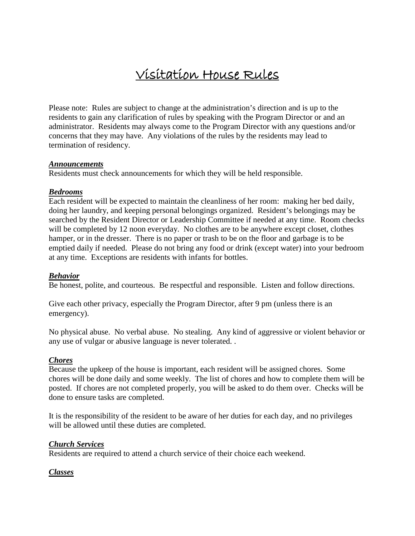# Visitation House Rules

Please note: Rules are subject to change at the administration's direction and is up to the residents to gain any clarification of rules by speaking with the Program Director or and an administrator. Residents may always come to the Program Director with any questions and/or concerns that they may have. Any violations of the rules by the residents may lead to termination of residency.

#### *Announcements*

Residents must check announcements for which they will be held responsible.

#### *Bedrooms*

Each resident will be expected to maintain the cleanliness of her room: making her bed daily, doing her laundry, and keeping personal belongings organized. Resident's belongings may be searched by the Resident Director or Leadership Committee if needed at any time. Room checks will be completed by 12 noon everyday. No clothes are to be anywhere except closet, clothes hamper, or in the dresser. There is no paper or trash to be on the floor and garbage is to be emptied daily if needed. Please do not bring any food or drink (except water) into your bedroom at any time. Exceptions are residents with infants for bottles.

#### *Behavior*

Be honest, polite, and courteous. Be respectful and responsible. Listen and follow directions.

Give each other privacy, especially the Program Director, after 9 pm (unless there is an emergency).

No physical abuse. No verbal abuse. No stealing. Any kind of aggressive or violent behavior or any use of vulgar or abusive language is never tolerated. .

#### *Chores*

Because the upkeep of the house is important, each resident will be assigned chores. Some chores will be done daily and some weekly. The list of chores and how to complete them will be posted. If chores are not completed properly, you will be asked to do them over. Checks will be done to ensure tasks are completed.

It is the responsibility of the resident to be aware of her duties for each day, and no privileges will be allowed until these duties are completed.

#### *Church Services*

Residents are required to attend a church service of their choice each weekend.

#### *Classes*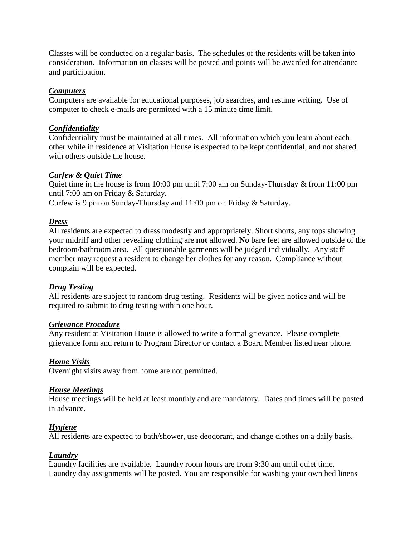Classes will be conducted on a regular basis. The schedules of the residents will be taken into consideration. Information on classes will be posted and points will be awarded for attendance and participation.

## *Computers*

Computers are available for educational purposes, job searches, and resume writing. Use of computer to check e-mails are permitted with a 15 minute time limit.

#### *Confidentiality*

Confidentiality must be maintained at all times. All information which you learn about each other while in residence at Visitation House is expected to be kept confidential, and not shared with others outside the house.

#### *Curfew & Quiet Time*

Quiet time in the house is from 10:00 pm until 7:00 am on Sunday-Thursday & from 11:00 pm until 7:00 am on Friday & Saturday.

Curfew is 9 pm on Sunday-Thursday and 11:00 pm on Friday & Saturday.

#### *Dress*

All residents are expected to dress modestly and appropriately. Short shorts, any tops showing your midriff and other revealing clothing are **not** allowed. **No** bare feet are allowed outside of the bedroom/bathroom area. All questionable garments will be judged individually. Any staff member may request a resident to change her clothes for any reason. Compliance without complain will be expected.

#### *Drug Testing*

All residents are subject to random drug testing. Residents will be given notice and will be required to submit to drug testing within one hour.

#### *Grievance Procedure*

Any resident at Visitation House is allowed to write a formal grievance. Please complete grievance form and return to Program Director or contact a Board Member listed near phone.

#### *Home Visits*

Overnight visits away from home are not permitted.

#### *House Meetings*

House meetings will be held at least monthly and are mandatory. Dates and times will be posted in advance.

#### *Hygiene*

All residents are expected to bath/shower, use deodorant, and change clothes on a daily basis.

#### *Laundry*

Laundry facilities are available. Laundry room hours are from 9:30 am until quiet time. Laundry day assignments will be posted. You are responsible for washing your own bed linens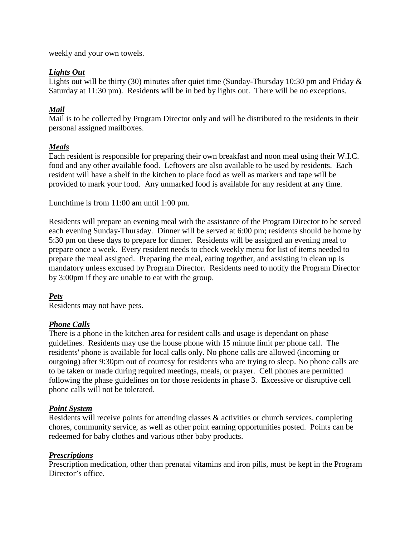weekly and your own towels.

# *Lights Out*

Lights out will be thirty (30) minutes after quiet time (Sunday-Thursday 10:30 pm and Friday & Saturday at 11:30 pm). Residents will be in bed by lights out. There will be no exceptions.

# *Mail*

Mail is to be collected by Program Director only and will be distributed to the residents in their personal assigned mailboxes.

# *Meals*

Each resident is responsible for preparing their own breakfast and noon meal using their W.I.C. food and any other available food. Leftovers are also available to be used by residents. Each resident will have a shelf in the kitchen to place food as well as markers and tape will be provided to mark your food. Any unmarked food is available for any resident at any time.

Lunchtime is from 11:00 am until 1:00 pm.

Residents will prepare an evening meal with the assistance of the Program Director to be served each evening Sunday-Thursday. Dinner will be served at 6:00 pm; residents should be home by 5:30 pm on these days to prepare for dinner. Residents will be assigned an evening meal to prepare once a week. Every resident needs to check weekly menu for list of items needed to prepare the meal assigned. Preparing the meal, eating together, and assisting in clean up is mandatory unless excused by Program Director. Residents need to notify the Program Director by 3:00pm if they are unable to eat with the group.

# *Pets*

Residents may not have pets.

## *Phone Calls*

There is a phone in the kitchen area for resident calls and usage is dependant on phase guidelines. Residents may use the house phone with 15 minute limit per phone call. The residents' phone is available for local calls only. No phone calls are allowed (incoming or outgoing) after 9:30pm out of courtesy for residents who are trying to sleep. No phone calls are to be taken or made during required meetings, meals, or prayer. Cell phones are permitted following the phase guidelines on for those residents in phase 3. Excessive or disruptive cell phone calls will not be tolerated.

## *Point System*

Residents will receive points for attending classes & activities or church services, completing chores, community service, as well as other point earning opportunities posted. Points can be redeemed for baby clothes and various other baby products.

## *Prescriptions*

Prescription medication, other than prenatal vitamins and iron pills, must be kept in the Program Director's office.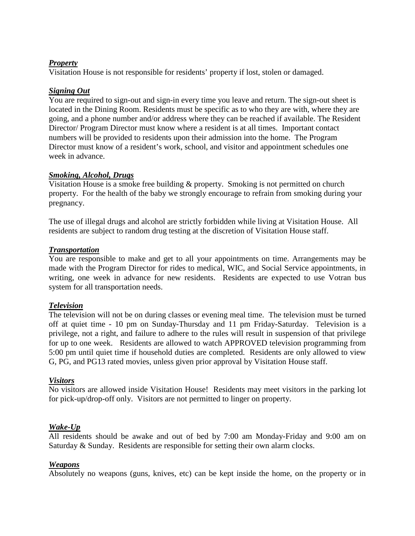## *Property*

Visitation House is not responsible for residents' property if lost, stolen or damaged.

## *Signing Out*

You are required to sign-out and sign-in every time you leave and return. The sign-out sheet is located in the Dining Room. Residents must be specific as to who they are with, where they are going, and a phone number and/or address where they can be reached if available. The Resident Director/ Program Director must know where a resident is at all times. Important contact numbers will be provided to residents upon their admission into the home. The Program Director must know of a resident's work, school, and visitor and appointment schedules one week in advance.

#### *Smoking, Alcohol, Drugs*

Visitation House is a smoke free building & property. Smoking is not permitted on church property. For the health of the baby we strongly encourage to refrain from smoking during your pregnancy.

The use of illegal drugs and alcohol are strictly forbidden while living at Visitation House. All residents are subject to random drug testing at the discretion of Visitation House staff.

#### *Transportation*

You are responsible to make and get to all your appointments on time. Arrangements may be made with the Program Director for rides to medical, WIC, and Social Service appointments, in writing, one week in advance for new residents. Residents are expected to use Votran bus system for all transportation needs.

#### *Television*

The television will not be on during classes or evening meal time. The television must be turned off at quiet time - 10 pm on Sunday-Thursday and 11 pm Friday-Saturday. Television is a privilege, not a right, and failure to adhere to the rules will result in suspension of that privilege for up to one week. Residents are allowed to watch APPROVED television programming from 5:00 pm until quiet time if household duties are completed. Residents are only allowed to view G, PG, and PG13 rated movies, unless given prior approval by Visitation House staff.

#### *Visitors*

No visitors are allowed inside Visitation House! Residents may meet visitors in the parking lot for pick-up/drop-off only. Visitors are not permitted to linger on property.

#### *Wake-Up*

All residents should be awake and out of bed by 7:00 am Monday-Friday and 9:00 am on Saturday & Sunday. Residents are responsible for setting their own alarm clocks.

#### *Weapons*

Absolutely no weapons (guns, knives, etc) can be kept inside the home, on the property or in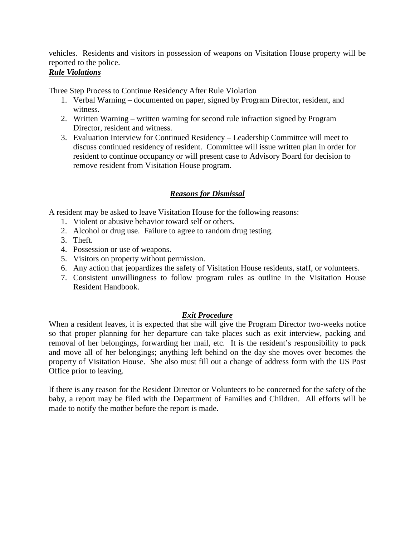vehicles. Residents and visitors in possession of weapons on Visitation House property will be reported to the police.

# *Rule Violations*

Three Step Process to Continue Residency After Rule Violation

- 1. Verbal Warning documented on paper, signed by Program Director, resident, and witness.
- 2. Written Warning written warning for second rule infraction signed by Program Director, resident and witness.
- 3. Evaluation Interview for Continued Residency Leadership Committee will meet to discuss continued residency of resident. Committee will issue written plan in order for resident to continue occupancy or will present case to Advisory Board for decision to remove resident from Visitation House program.

# *Reasons for Dismissal*

A resident may be asked to leave Visitation House for the following reasons:

- 1. Violent or abusive behavior toward self or others.
- 2. Alcohol or drug use. Failure to agree to random drug testing.
- 3. Theft.
- 4. Possession or use of weapons.
- 5. Visitors on property without permission.
- 6. Any action that jeopardizes the safety of Visitation House residents, staff, or volunteers.
- 7. Consistent unwillingness to follow program rules as outline in the Visitation House Resident Handbook.

## *Exit Procedure*

When a resident leaves, it is expected that she will give the Program Director two-weeks notice so that proper planning for her departure can take places such as exit interview, packing and removal of her belongings, forwarding her mail, etc. It is the resident's responsibility to pack and move all of her belongings; anything left behind on the day she moves over becomes the property of Visitation House. She also must fill out a change of address form with the US Post Office prior to leaving.

If there is any reason for the Resident Director or Volunteers to be concerned for the safety of the baby, a report may be filed with the Department of Families and Children. All efforts will be made to notify the mother before the report is made.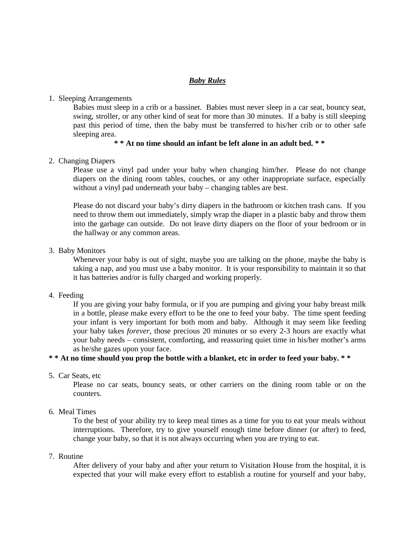#### *Baby Rules*

#### 1. Sleeping Arrangements

Babies must sleep in a crib or a bassinet. Babies must never sleep in a car seat, bouncy seat, swing, stroller, or any other kind of seat for more than 30 minutes. If a baby is still sleeping past this period of time, then the baby must be transferred to his/her crib or to other safe sleeping area.

## **\* \* At no time should an infant be left alone in an adult bed. \* \***

#### 2. Changing Diapers

Please use a vinyl pad under your baby when changing him/her. Please do not change diapers on the dining room tables, couches, or any other inappropriate surface, especially without a vinyl pad underneath your baby – changing tables are best.

Please do not discard your baby's dirty diapers in the bathroom or kitchen trash cans. If you need to throw them out immediately, simply wrap the diaper in a plastic baby and throw them into the garbage can outside. Do not leave dirty diapers on the floor of your bedroom or in the hallway or any common areas.

#### 3. Baby Monitors

Whenever your baby is out of sight, maybe you are talking on the phone, maybe the baby is taking a nap, and you must use a baby monitor. It is your responsibility to maintain it so that it has batteries and/or is fully charged and working properly.

#### 4. Feeding

If you are giving your baby formula, or if you are pumping and giving your baby breast milk in a bottle, please make every effort to be the one to feed your baby. The time spent feeding your infant is very important for both mom and baby. Although it may seem like feeding your baby takes *forever*, those precious 20 minutes or so every 2-3 hours are exactly what your baby needs – consistent, comforting, and reassuring quiet time in his/her mother's arms as he/she gazes upon your face.

#### **\* \* At no time should you prop the bottle with a blanket, etc in order to feed your baby. \* \***

5. Car Seats, etc

Please no car seats, bouncy seats, or other carriers on the dining room table or on the counters.

#### 6. Meal Times

To the best of your ability try to keep meal times as a time for you to eat your meals without interruptions. Therefore, try to give yourself enough time before dinner (or after) to feed, change your baby, so that it is not always occurring when you are trying to eat.

#### 7. Routine

After delivery of your baby and after your return to Visitation House from the hospital, it is expected that your will make every effort to establish a routine for yourself and your baby,